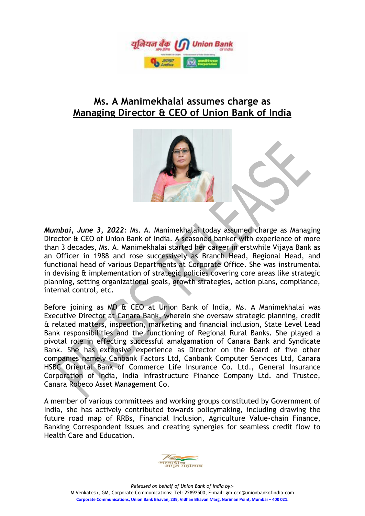

## **Ms. A Manimekhalai assumes charge as Managing Director & CEO of Union Bank of India**



*Mumbai, June 3, 2022:* Ms. A. Manimekhalai today assumed charge as Managing Director & CEO of Union Bank of India. A seasoned banker with experience of more than 3 decades, Ms. A. Manimekhalai started her career in erstwhile Vijaya Bank as an Officer in 1988 and rose successively as Branch Head, Regional Head, and functional head of various Departments at Corporate Office. She was instrumental in devising & implementation of strategic policies covering core areas like strategic planning, setting organizational goals, growth strategies, action plans, compliance, internal control, etc.

Before joining as MD & CEO at Union Bank of India, Ms. A Manimekhalai was Executive Director at Canara Bank, wherein she oversaw strategic planning, credit & related matters, inspection, marketing and financial inclusion, State Level Lead Bank responsibilities and the functioning of Regional Rural Banks. She played a pivotal role in effecting successful amalgamation of Canara Bank and Syndicate Bank. She has extensive experience as Director on the Board of five other companies namely Canbank Factors Ltd, Canbank Computer Services Ltd, Canara HSBC Oriental Bank of Commerce Life Insurance Co. Ltd., General Insurance Corporation of India, India Infrastructure Finance Company Ltd. and Trustee, Canara Robeco Asset Management Co.

A member of various committees and working groups constituted by Government of India, she has actively contributed towards policymaking, including drawing the future road map of RRBs, Financial Inclusion, Agriculture Value-chain Finance, Banking Correspondent issues and creating synergies for seamless credit flow to Health Care and Education.



*Released on behalf of Union Bank of India by:-* M Venkatesh**,** GM, Corporate Communications; Tel: 22892500; E-mail: gm.ccd@unionbankofindia.com **Corporate Communications, Union Bank Bhavan, 239, Vidhan Bhavan Marg, Nariman Point, Mumbai – 400 021.**